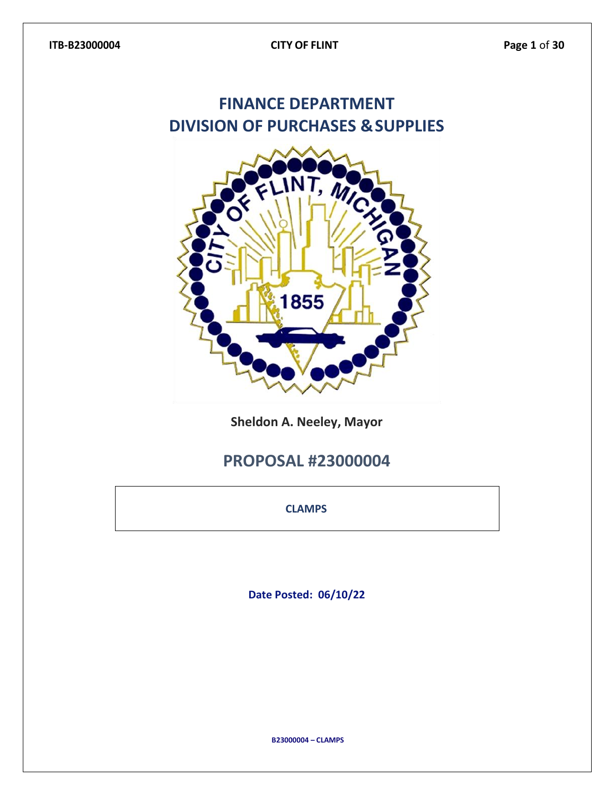# **FINANCE DEPARTMENT DIVISION OF PURCHASES &SUPPLIES**



**Sheldon A. Neeley, Mayor**

# **PROPOSAL #23000004**

### **CLAMPS**

**Date Posted: 06/10/22**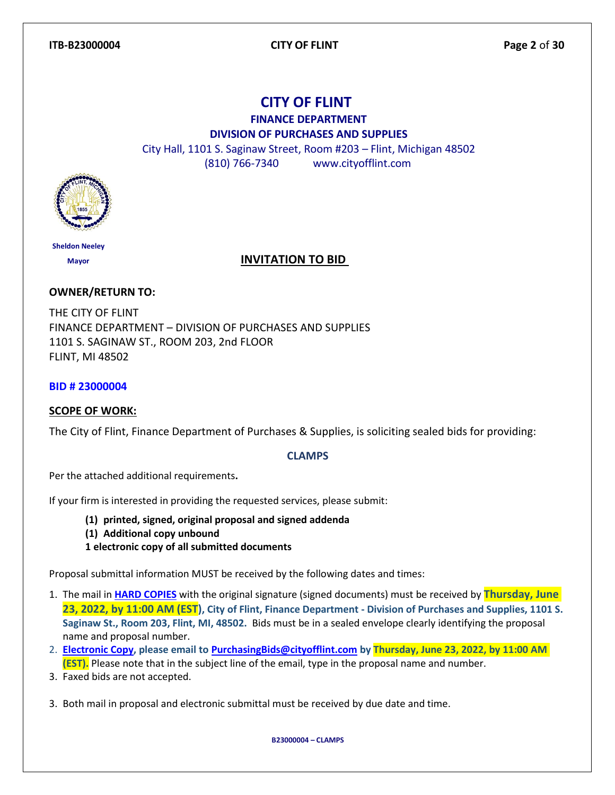### **ITB-B23000004 CITY OF FLINT Page 2** of **30**

# **CITY OF FLINT**

# **FINANCE DEPARTMENT DIVISION OF PURCHASES AND SUPPLIES**

City Hall, 1101 S. Saginaw Street, Room #203 – Flint, Michigan 48502 (810) 766-7340 www.cityofflint.com



**Sheldon Neeley**

### **Mayor INVITATION TO BID**

### **OWNER/RETURN TO:**

THE CITY OF FLINT FINANCE DEPARTMENT – DIVISION OF PURCHASES AND SUPPLIES 1101 S. SAGINAW ST., ROOM 203, 2nd FLOOR FLINT, MI 48502

### **BID # 23000004**

### **SCOPE OF WORK:**

The City of Flint, Finance Department of Purchases & Supplies, is soliciting sealed bids for providing:

### **CLAMPS**

Per the attached additional requirements**.**

If your firm is interested in providing the requested services, please submit:

- **(1) printed, signed, original proposal and signed addenda**
- **(1) Additional copy unbound**
- **1 electronic copy of all submitted documents**

Proposal submittal information MUST be received by the following dates and times:

- 1. The mail in **HARD COPIES** with the original signature (signed documents) must be received by **Thursday, June 23, 2022, by 11:00 AM (EST), City of Flint, Finance Department - Division of Purchases and Supplies, 1101 S. Saginaw St., Room 203, Flint, MI, 48502.** Bids must be in a sealed envelope clearly identifying the proposal name and proposal number.
- 2. **Electronic Copy, please email to PurchasingBids@cityofflint.com by Thursday, June 23, 2022, by 11:00 AM (EST).** Please note that in the subject line of the email, type in the proposal name and number.
- 3. Faxed bids are not accepted.
- 3. Both mail in proposal and electronic submittal must be received by due date and time.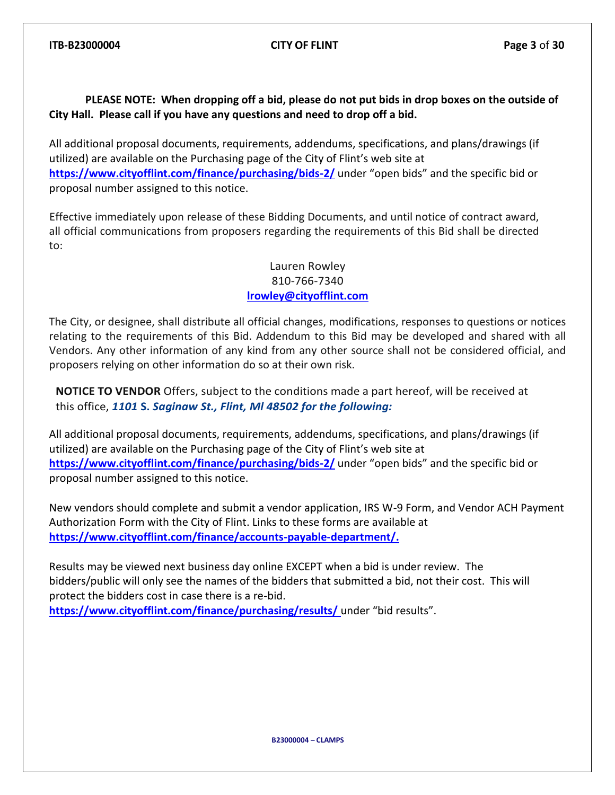**ITB-B23000004 CITY OF FLINT Page 3** of **30**

# **PLEASE NOTE: When dropping off a bid, please do not put bids in drop boxes on the outside of City Hall. Please call if you have any questions and need to drop off a bid.**

All additional proposal documents, requirements, addendums, specifications, and plans/drawings (if utilized) are available on the Purchasing page of the City of Flint's web site at **<https://www.cityofflint.com/finance/purchasing/bids-2/>** under "open bids" and the specific bid or proposal number assigned to this notice.

Effective immediately upon release of these Bidding Documents, and until notice of contract award, all official communications from proposers regarding the requirements of this Bid shall be directed to:

# Lauren Rowley 810-766-7340 **lrowley@cityofflint.com**

The City, or designee, shall distribute all official changes, modifications, responses to questions or notices relating to the requirements of this Bid. Addendum to this Bid may be developed and shared with all Vendors. Any other information of any kind from any other source shall not be considered official, and proposers relying on other information do so at their own risk.

**NOTICE TO VENDOR** Offers, subject to the conditions made a part hereof, will be received at this office, *1101* **S.** *Saginaw St., Flint, Ml 48502 for the following:*

All additional proposal documents, requirements, addendums, specifications, and plans/drawings (if utilized) are available on the Purchasing page of the City of Flint's web site at **<https://www.cityofflint.com/finance/purchasing/bids-2/>** under "open bids" and the specific bid or proposal number assigned to this notice.

New vendors should complete and submit a vendor application, IRS W-9 Form, and Vendor ACH Payment Authorization Form with the City of Flint. Links to these forms are available at **[https://www.cityofflint.com/finance/accounts-payable-department/.](https://www.cityofflint.com/finance/accounts-payable-department/)**

Results may be viewed next business day online EXCEPT when a bid is under review. The bidders/public will only see the names of the bidders that submitted a bid, not their cost. This will protect the bidders cost in case there is a re-bid. **https:/[/www.cityofflint.com/finance/purchasing/results/](http://www.cityofflint.com/finance/purchasing/results/)** under "bid results".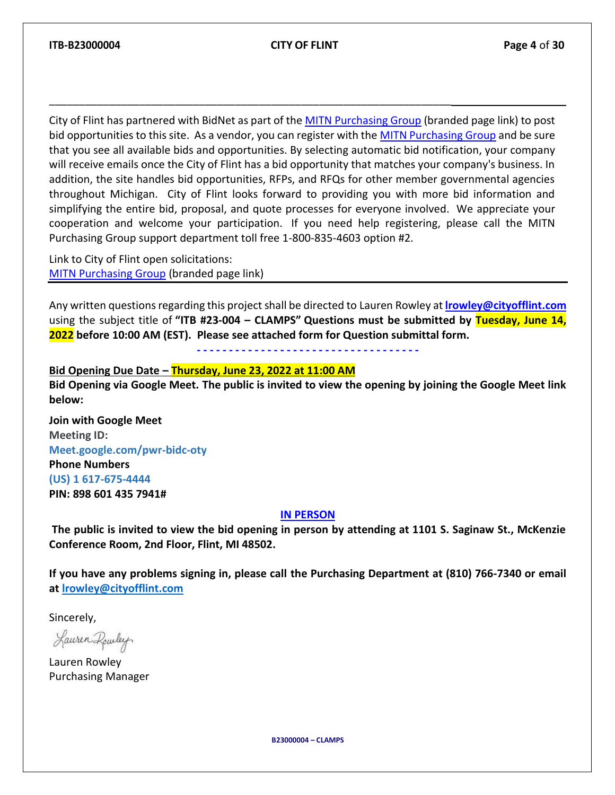\_\_\_\_\_\_\_\_\_\_\_\_\_\_\_\_\_\_\_\_\_\_\_\_\_\_\_\_\_\_\_\_\_\_\_\_\_\_\_\_\_\_\_\_\_\_\_\_\_\_\_\_\_\_\_\_\_\_\_\_\_\_\_\_\_\_\_

City of Flint has partnered with BidNet as part of th[e MITN Purchasing Group](http://www.bidnetdirect.com/cityofflint) (branded page link) to post bid opportunities to this site. As a vendor, you can register with the [MITN Purchasing Group](http://www.bidnetdirect.com/cityofflint) and be sure that you see all available bids and opportunities. By selecting automatic bid notification, your company will receive emails once the City of Flint has a bid opportunity that matches your company's business. In addition, the site handles bid opportunities, RFPs, and RFQs for other member governmental agencies throughout Michigan. City of Flint looks forward to providing you with more bid information and simplifying the entire bid, proposal, and quote processes for everyone involved. We appreciate your cooperation and welcome your participation. If you need help registering, please call the MITN Purchasing Group support department toll free 1-800-835-4603 option #2.

Link to City of Flint open solicitations: [MITN Purchasing Group](http://www.bidnetdirect.com/cityofflint) (branded page link)

Any written questions regarding this project shall be directed to Lauren Rowley at **lrowley@cityofflint.com** using the subject title of **"ITB #23-004 – CLAMPS" Questions must be submitted by Tuesday, June 14, 2022 before 10:00 AM (EST). Please see attached form for Question submittal form.**

..................................

### **Bid Opening Due Date – Thursday, June 23, 2022 at 11:00 AM**

**Bid Opening via Google Meet. The public is invited to view the opening by joining the Google Meet link below:**

**Join with Google Meet Meeting ID: Meet.google.com/pwr-bidc-oty Phone Numbers (US) 1 617-675-4444 PIN: 898 601 435 7941#**

### **IN PERSON**

**The public is invited to view the bid opening in person by attending at 1101 S. Saginaw St., McKenzie Conference Room, 2nd Floor, Flint, MI 48502.** 

**If you have any problems signing in, please call the Purchasing Department at (810) 766-7340 or email at [lrowley@cityofflint.com](mailto:lrowley@cityofflint.com)**

Sincerely,

Lauren Rowley

Lauren Rowley Purchasing Manager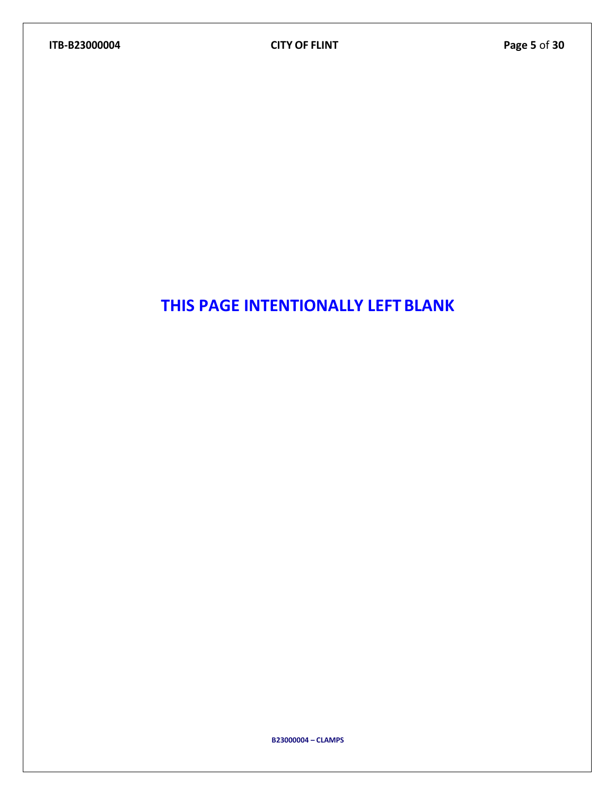# **THIS PAGE INTENTIONALLY LEFT BLANK**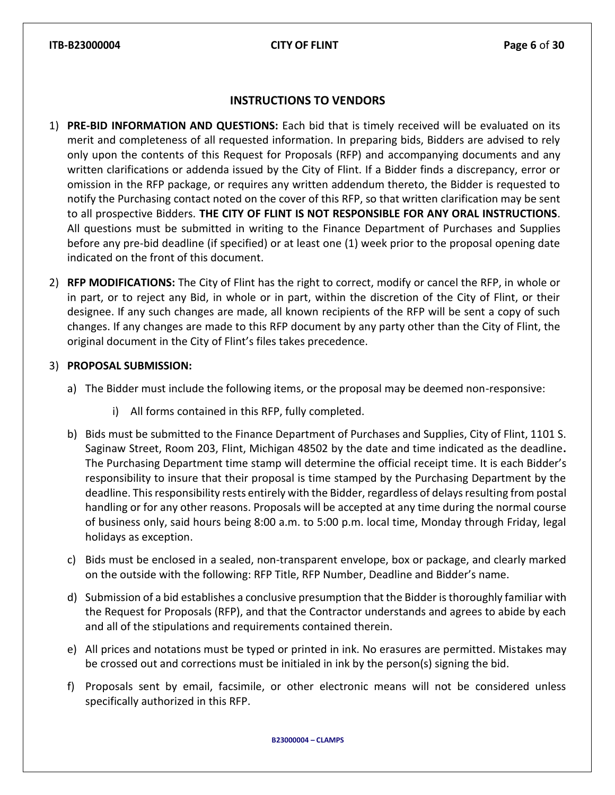## **INSTRUCTIONS TO VENDORS**

- 1) **PRE-BID INFORMATION AND QUESTIONS:** Each bid that is timely received will be evaluated on its merit and completeness of all requested information. In preparing bids, Bidders are advised to rely only upon the contents of this Request for Proposals (RFP) and accompanying documents and any written clarifications or addenda issued by the City of Flint. If a Bidder finds a discrepancy, error or omission in the RFP package, or requires any written addendum thereto, the Bidder is requested to notify the Purchasing contact noted on the cover of this RFP, so that written clarification may be sent to all prospective Bidders. **THE CITY OF FLINT IS NOT RESPONSIBLE FOR ANY ORAL INSTRUCTIONS**. All questions must be submitted in writing to the Finance Department of Purchases and Supplies before any pre-bid deadline (if specified) or at least one (1) week prior to the proposal opening date indicated on the front of this document.
- 2) **RFP MODIFICATIONS:** The City of Flint has the right to correct, modify or cancel the RFP, in whole or in part, or to reject any Bid, in whole or in part, within the discretion of the City of Flint, or their designee. If any such changes are made, all known recipients of the RFP will be sent a copy of such changes. If any changes are made to this RFP document by any party other than the City of Flint, the original document in the City of Flint's files takes precedence.

### 3) **PROPOSAL SUBMISSION:**

- a) The Bidder must include the following items, or the proposal may be deemed non-responsive:
	- i) All forms contained in this RFP, fully completed.
- b) Bids must be submitted to the Finance Department of Purchases and Supplies, City of Flint, 1101 S. Saginaw Street, Room 203, Flint, Michigan 48502 by the date and time indicated as the deadline**.**  The Purchasing Department time stamp will determine the official receipt time. It is each Bidder's responsibility to insure that their proposal is time stamped by the Purchasing Department by the deadline. This responsibility rests entirely with the Bidder, regardless of delays resulting from postal handling or for any other reasons. Proposals will be accepted at any time during the normal course of business only, said hours being 8:00 a.m. to 5:00 p.m. local time, Monday through Friday, legal holidays as exception.
- c) Bids must be enclosed in a sealed, non-transparent envelope, box or package, and clearly marked on the outside with the following: RFP Title, RFP Number, Deadline and Bidder's name.
- d) Submission of a bid establishes a conclusive presumption that the Bidder is thoroughly familiar with the Request for Proposals (RFP), and that the Contractor understands and agrees to abide by each and all of the stipulations and requirements contained therein.
- e) All prices and notations must be typed or printed in ink. No erasures are permitted. Mistakes may be crossed out and corrections must be initialed in ink by the person(s) signing the bid.
- f) Proposals sent by email, facsimile, or other electronic means will not be considered unless specifically authorized in this RFP.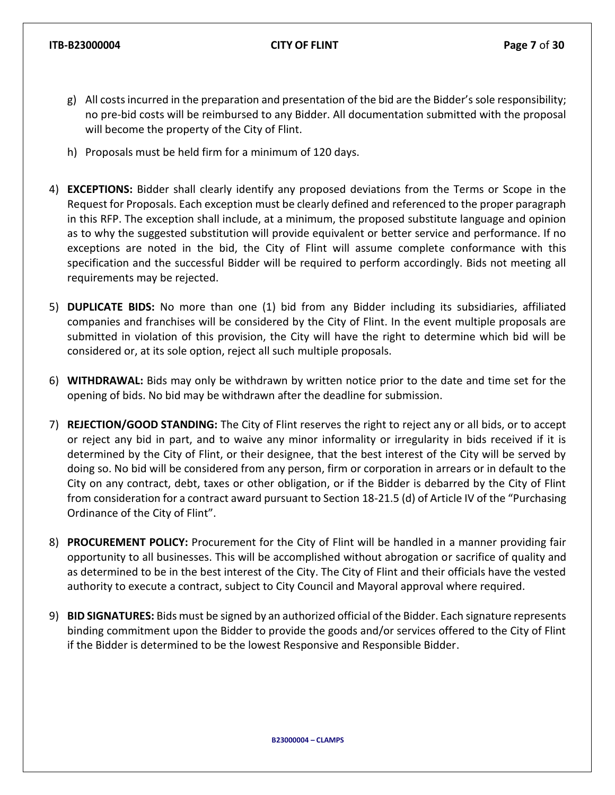- g) All costs incurred in the preparation and presentation of the bid are the Bidder's sole responsibility; no pre-bid costs will be reimbursed to any Bidder. All documentation submitted with the proposal will become the property of the City of Flint.
- h) Proposals must be held firm for a minimum of 120 days.
- 4) **EXCEPTIONS:** Bidder shall clearly identify any proposed deviations from the Terms or Scope in the Request for Proposals. Each exception must be clearly defined and referenced to the proper paragraph in this RFP. The exception shall include, at a minimum, the proposed substitute language and opinion as to why the suggested substitution will provide equivalent or better service and performance. If no exceptions are noted in the bid, the City of Flint will assume complete conformance with this specification and the successful Bidder will be required to perform accordingly. Bids not meeting all requirements may be rejected.
- 5) **DUPLICATE BIDS:** No more than one (1) bid from any Bidder including its subsidiaries, affiliated companies and franchises will be considered by the City of Flint. In the event multiple proposals are submitted in violation of this provision, the City will have the right to determine which bid will be considered or, at its sole option, reject all such multiple proposals.
- 6) **WITHDRAWAL:** Bids may only be withdrawn by written notice prior to the date and time set for the opening of bids. No bid may be withdrawn after the deadline for submission.
- 7) **REJECTION/GOOD STANDING:** The City of Flint reserves the right to reject any or all bids, or to accept or reject any bid in part, and to waive any minor informality or irregularity in bids received if it is determined by the City of Flint, or their designee, that the best interest of the City will be served by doing so. No bid will be considered from any person, firm or corporation in arrears or in default to the City on any contract, debt, taxes or other obligation, or if the Bidder is debarred by the City of Flint from consideration for a contract award pursuant to Section 18-21.5 (d) of Article IV of the "Purchasing Ordinance of the City of Flint".
- 8) **PROCUREMENT POLICY:** Procurement for the City of Flint will be handled in a manner providing fair opportunity to all businesses. This will be accomplished without abrogation or sacrifice of quality and as determined to be in the best interest of the City. The City of Flint and their officials have the vested authority to execute a contract, subject to City Council and Mayoral approval where required.
- 9) **BID SIGNATURES:** Bids must be signed by an authorized official of the Bidder. Each signature represents binding commitment upon the Bidder to provide the goods and/or services offered to the City of Flint if the Bidder is determined to be the lowest Responsive and Responsible Bidder.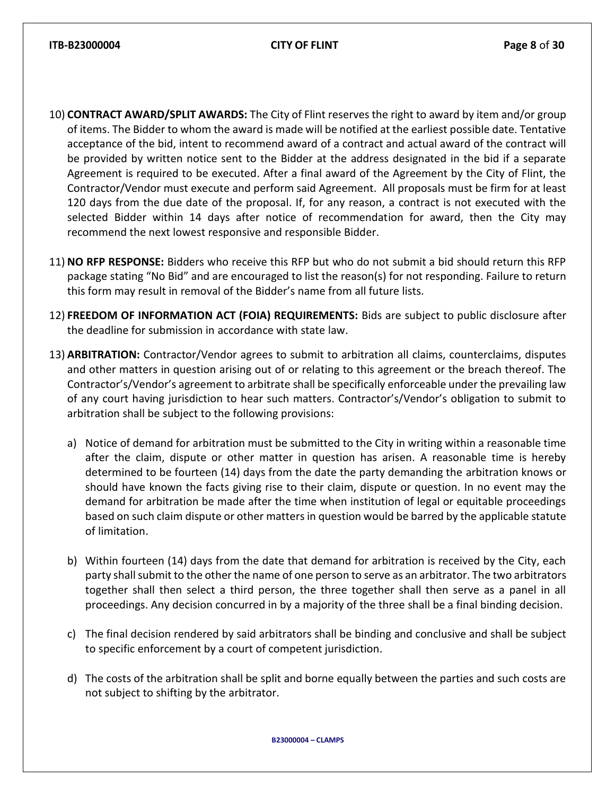- 10) **CONTRACT AWARD/SPLIT AWARDS:** The City of Flint reserves the right to award by item and/or group of items. The Bidder to whom the award is made will be notified at the earliest possible date. Tentative acceptance of the bid, intent to recommend award of a contract and actual award of the contract will be provided by written notice sent to the Bidder at the address designated in the bid if a separate Agreement is required to be executed. After a final award of the Agreement by the City of Flint, the Contractor/Vendor must execute and perform said Agreement. All proposals must be firm for at least 120 days from the due date of the proposal. If, for any reason, a contract is not executed with the selected Bidder within 14 days after notice of recommendation for award, then the City may recommend the next lowest responsive and responsible Bidder.
- 11) **NO RFP RESPONSE:** Bidders who receive this RFP but who do not submit a bid should return this RFP package stating "No Bid" and are encouraged to list the reason(s) for not responding. Failure to return this form may result in removal of the Bidder's name from all future lists.
- 12) **FREEDOM OF INFORMATION ACT (FOIA) REQUIREMENTS:** Bids are subject to public disclosure after the deadline for submission in accordance with state law.
- 13) **ARBITRATION:** Contractor/Vendor agrees to submit to arbitration all claims, counterclaims, disputes and other matters in question arising out of or relating to this agreement or the breach thereof. The Contractor's/Vendor's agreement to arbitrate shall be specifically enforceable under the prevailing law of any court having jurisdiction to hear such matters. Contractor's/Vendor's obligation to submit to arbitration shall be subject to the following provisions:
	- a) Notice of demand for arbitration must be submitted to the City in writing within a reasonable time after the claim, dispute or other matter in question has arisen. A reasonable time is hereby determined to be fourteen (14) days from the date the party demanding the arbitration knows or should have known the facts giving rise to their claim, dispute or question. In no event may the demand for arbitration be made after the time when institution of legal or equitable proceedings based on such claim dispute or other matters in question would be barred by the applicable statute of limitation.
	- b) Within fourteen (14) days from the date that demand for arbitration is received by the City, each party shall submit to the other the name of one person to serve as an arbitrator. The two arbitrators together shall then select a third person, the three together shall then serve as a panel in all proceedings. Any decision concurred in by a majority of the three shall be a final binding decision.
	- c) The final decision rendered by said arbitrators shall be binding and conclusive and shall be subject to specific enforcement by a court of competent jurisdiction.
	- d) The costs of the arbitration shall be split and borne equally between the parties and such costs are not subject to shifting by the arbitrator.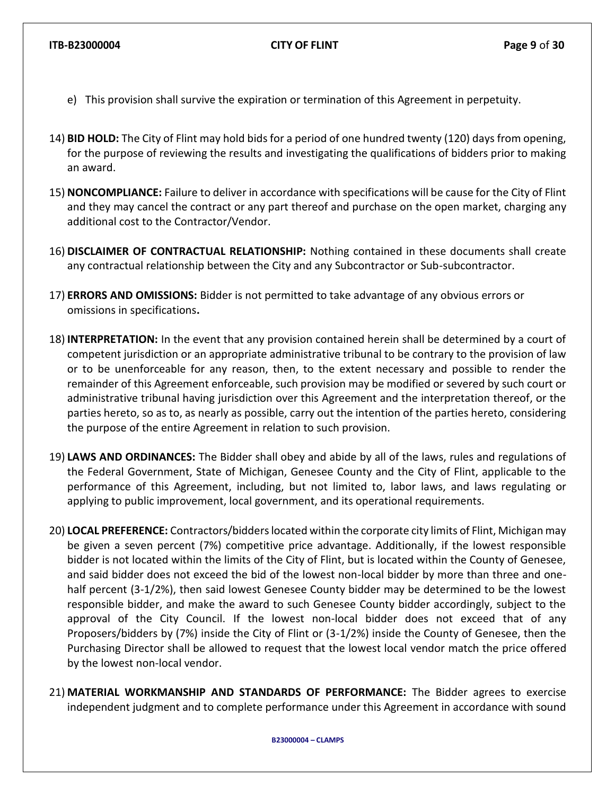- e) This provision shall survive the expiration or termination of this Agreement in perpetuity.
- 14) **BID HOLD:** The City of Flint may hold bids for a period of one hundred twenty (120) days from opening, for the purpose of reviewing the results and investigating the qualifications of bidders prior to making an award.
- 15) **NONCOMPLIANCE:** Failure to deliver in accordance with specifications will be cause for the City of Flint and they may cancel the contract or any part thereof and purchase on the open market, charging any additional cost to the Contractor/Vendor.
- 16) **DISCLAIMER OF CONTRACTUAL RELATIONSHIP:** Nothing contained in these documents shall create any contractual relationship between the City and any Subcontractor or Sub-subcontractor.
- 17) **ERRORS AND OMISSIONS:** Bidder is not permitted to take advantage of any obvious errors or omissions in specifications**.**
- 18) **INTERPRETATION:** In the event that any provision contained herein shall be determined by a court of competent jurisdiction or an appropriate administrative tribunal to be contrary to the provision of law or to be unenforceable for any reason, then, to the extent necessary and possible to render the remainder of this Agreement enforceable, such provision may be modified or severed by such court or administrative tribunal having jurisdiction over this Agreement and the interpretation thereof, or the parties hereto, so as to, as nearly as possible, carry out the intention of the parties hereto, considering the purpose of the entire Agreement in relation to such provision.
- 19) **LAWS AND ORDINANCES:** The Bidder shall obey and abide by all of the laws, rules and regulations of the Federal Government, State of Michigan, Genesee County and the City of Flint, applicable to the performance of this Agreement, including, but not limited to, labor laws, and laws regulating or applying to public improvement, local government, and its operational requirements.
- 20) **LOCAL PREFERENCE:** Contractors/bidders located within the corporate city limits of Flint, Michigan may be given a seven percent (7%) competitive price advantage. Additionally, if the lowest responsible bidder is not located within the limits of the City of Flint, but is located within the County of Genesee, and said bidder does not exceed the bid of the lowest non-local bidder by more than three and onehalf percent (3-1/2%), then said lowest Genesee County bidder may be determined to be the lowest responsible bidder, and make the award to such Genesee County bidder accordingly, subject to the approval of the City Council. If the lowest non-local bidder does not exceed that of any Proposers/bidders by (7%) inside the City of Flint or (3-1/2%) inside the County of Genesee, then the Purchasing Director shall be allowed to request that the lowest local vendor match the price offered by the lowest non-local vendor.
- 21) **MATERIAL WORKMANSHIP AND STANDARDS OF PERFORMANCE:** The Bidder agrees to exercise independent judgment and to complete performance under this Agreement in accordance with sound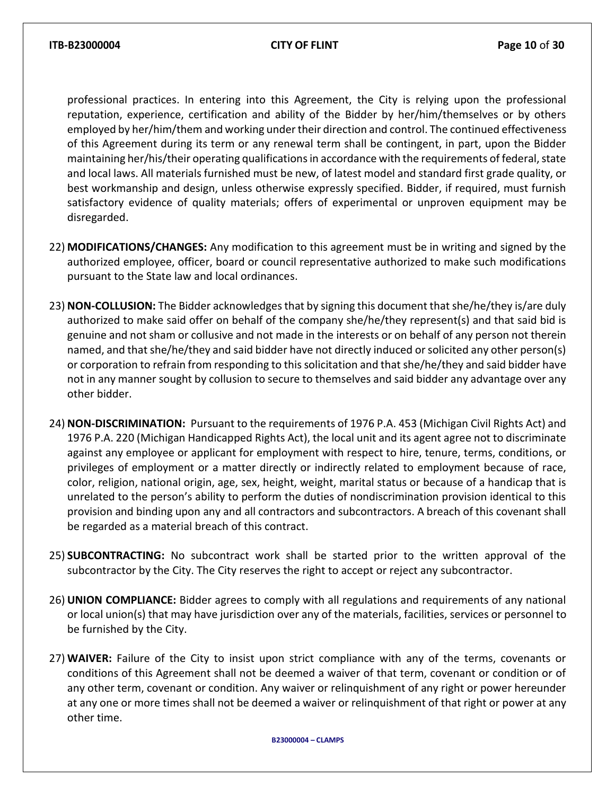professional practices. In entering into this Agreement, the City is relying upon the professional reputation, experience, certification and ability of the Bidder by her/him/themselves or by others employed by her/him/them and working under their direction and control. The continued effectiveness of this Agreement during its term or any renewal term shall be contingent, in part, upon the Bidder maintaining her/his/their operating qualifications in accordance with the requirements of federal, state and local laws. All materials furnished must be new, of latest model and standard first grade quality, or best workmanship and design, unless otherwise expressly specified. Bidder, if required, must furnish satisfactory evidence of quality materials; offers of experimental or unproven equipment may be disregarded.

- 22) **MODIFICATIONS/CHANGES:** Any modification to this agreement must be in writing and signed by the authorized employee, officer, board or council representative authorized to make such modifications pursuant to the State law and local ordinances.
- 23) **NON-COLLUSION:** The Bidder acknowledges that by signing this document that she/he/they is/are duly authorized to make said offer on behalf of the company she/he/they represent(s) and that said bid is genuine and not sham or collusive and not made in the interests or on behalf of any person not therein named, and that she/he/they and said bidder have not directly induced or solicited any other person(s) or corporation to refrain from responding to this solicitation and that she/he/they and said bidder have not in any manner sought by collusion to secure to themselves and said bidder any advantage over any other bidder.
- 24) **NON-DISCRIMINATION:** Pursuant to the requirements of 1976 P.A. 453 (Michigan Civil Rights Act) and 1976 P.A. 220 (Michigan Handicapped Rights Act), the local unit and its agent agree not to discriminate against any employee or applicant for employment with respect to hire, tenure, terms, conditions, or privileges of employment or a matter directly or indirectly related to employment because of race, color, religion, national origin, age, sex, height, weight, marital status or because of a handicap that is unrelated to the person's ability to perform the duties of nondiscrimination provision identical to this provision and binding upon any and all contractors and subcontractors. A breach of this covenant shall be regarded as a material breach of this contract.
- 25) **SUBCONTRACTING:** No subcontract work shall be started prior to the written approval of the subcontractor by the City. The City reserves the right to accept or reject any subcontractor.
- 26) **UNION COMPLIANCE:** Bidder agrees to comply with all regulations and requirements of any national or local union(s) that may have jurisdiction over any of the materials, facilities, services or personnel to be furnished by the City.
- 27) **WAIVER:** Failure of the City to insist upon strict compliance with any of the terms, covenants or conditions of this Agreement shall not be deemed a waiver of that term, covenant or condition or of any other term, covenant or condition. Any waiver or relinquishment of any right or power hereunder at any one or more times shall not be deemed a waiver or relinquishment of that right or power at any other time.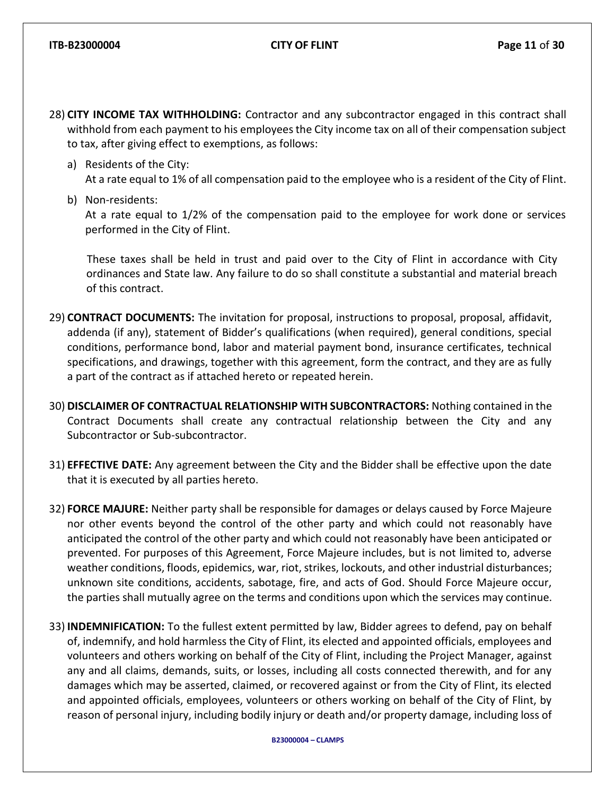- 28) **CITY INCOME TAX WITHHOLDING:** Contractor and any subcontractor engaged in this contract shall withhold from each payment to his employees the City income tax on all of their compensation subject to tax, after giving effect to exemptions, as follows:
	- a) Residents of the City: At a rate equal to 1% of all compensation paid to the employee who is a resident of the City of Flint.
	- b) Non-residents:

At a rate equal to 1/2% of the compensation paid to the employee for work done or services performed in the City of Flint.

 These taxes shall be held in trust and paid over to the City of Flint in accordance with City ordinances and State law. Any failure to do so shall constitute a substantial and material breach of this contract.

- 29) **CONTRACT DOCUMENTS:** The invitation for proposal, instructions to proposal, proposal, affidavit, addenda (if any), statement of Bidder's qualifications (when required), general conditions, special conditions, performance bond, labor and material payment bond, insurance certificates, technical specifications, and drawings, together with this agreement, form the contract, and they are as fully a part of the contract as if attached hereto or repeated herein.
- 30) **DISCLAIMER OF CONTRACTUAL RELATIONSHIP WITH SUBCONTRACTORS:** Nothing contained in the Contract Documents shall create any contractual relationship between the City and any Subcontractor or Sub-subcontractor.
- 31) **EFFECTIVE DATE:** Any agreement between the City and the Bidder shall be effective upon the date that it is executed by all parties hereto.
- 32) **FORCE MAJURE:** Neither party shall be responsible for damages or delays caused by Force Majeure nor other events beyond the control of the other party and which could not reasonably have anticipated the control of the other party and which could not reasonably have been anticipated or prevented. For purposes of this Agreement, Force Majeure includes, but is not limited to, adverse weather conditions, floods, epidemics, war, riot, strikes, lockouts, and other industrial disturbances; unknown site conditions, accidents, sabotage, fire, and acts of God. Should Force Majeure occur, the parties shall mutually agree on the terms and conditions upon which the services may continue.
- 33) **INDEMNIFICATION:** To the fullest extent permitted by law, Bidder agrees to defend, pay on behalf of, indemnify, and hold harmless the City of Flint, its elected and appointed officials, employees and volunteers and others working on behalf of the City of Flint, including the Project Manager, against any and all claims, demands, suits, or losses, including all costs connected therewith, and for any damages which may be asserted, claimed, or recovered against or from the City of Flint, its elected and appointed officials, employees, volunteers or others working on behalf of the City of Flint, by reason of personal injury, including bodily injury or death and/or property damage, including loss of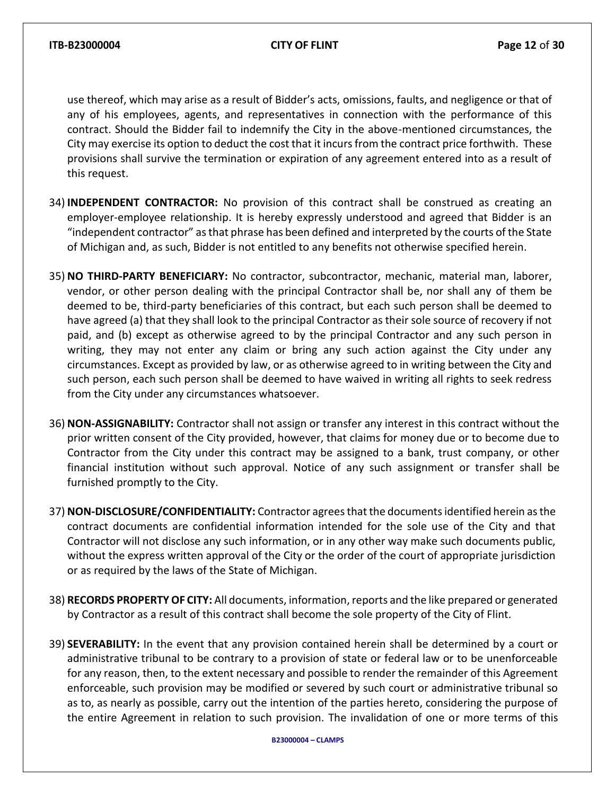use thereof, which may arise as a result of Bidder's acts, omissions, faults, and negligence or that of any of his employees, agents, and representatives in connection with the performance of this contract. Should the Bidder fail to indemnify the City in the above-mentioned circumstances, the City may exercise its option to deduct the cost that it incurs from the contract price forthwith. These provisions shall survive the termination or expiration of any agreement entered into as a result of this request.

- 34) **INDEPENDENT CONTRACTOR:** No provision of this contract shall be construed as creating an employer-employee relationship. It is hereby expressly understood and agreed that Bidder is an "independent contractor" as that phrase has been defined and interpreted by the courts of the State of Michigan and, as such, Bidder is not entitled to any benefits not otherwise specified herein.
- 35) **NO THIRD-PARTY BENEFICIARY:** No contractor, subcontractor, mechanic, material man, laborer, vendor, or other person dealing with the principal Contractor shall be, nor shall any of them be deemed to be, third-party beneficiaries of this contract, but each such person shall be deemed to have agreed (a) that they shall look to the principal Contractor as their sole source of recovery if not paid, and (b) except as otherwise agreed to by the principal Contractor and any such person in writing, they may not enter any claim or bring any such action against the City under any circumstances. Except as provided by law, or as otherwise agreed to in writing between the City and such person, each such person shall be deemed to have waived in writing all rights to seek redress from the City under any circumstances whatsoever.
- 36) **NON-ASSIGNABILITY:** Contractor shall not assign or transfer any interest in this contract without the prior written consent of the City provided, however, that claims for money due or to become due to Contractor from the City under this contract may be assigned to a bank, trust company, or other financial institution without such approval. Notice of any such assignment or transfer shall be furnished promptly to the City.
- 37) **NON-DISCLOSURE/CONFIDENTIALITY:** Contractor agrees that the documents identified herein as the contract documents are confidential information intended for the sole use of the City and that Contractor will not disclose any such information, or in any other way make such documents public, without the express written approval of the City or the order of the court of appropriate jurisdiction or as required by the laws of the State of Michigan.
- 38) **RECORDS PROPERTY OF CITY:** All documents, information, reports and the like prepared or generated by Contractor as a result of this contract shall become the sole property of the City of Flint.
- 39) **SEVERABILITY:** In the event that any provision contained herein shall be determined by a court or administrative tribunal to be contrary to a provision of state or federal law or to be unenforceable for any reason, then, to the extent necessary and possible to render the remainder of this Agreement enforceable, such provision may be modified or severed by such court or administrative tribunal so as to, as nearly as possible, carry out the intention of the parties hereto, considering the purpose of the entire Agreement in relation to such provision. The invalidation of one or more terms of this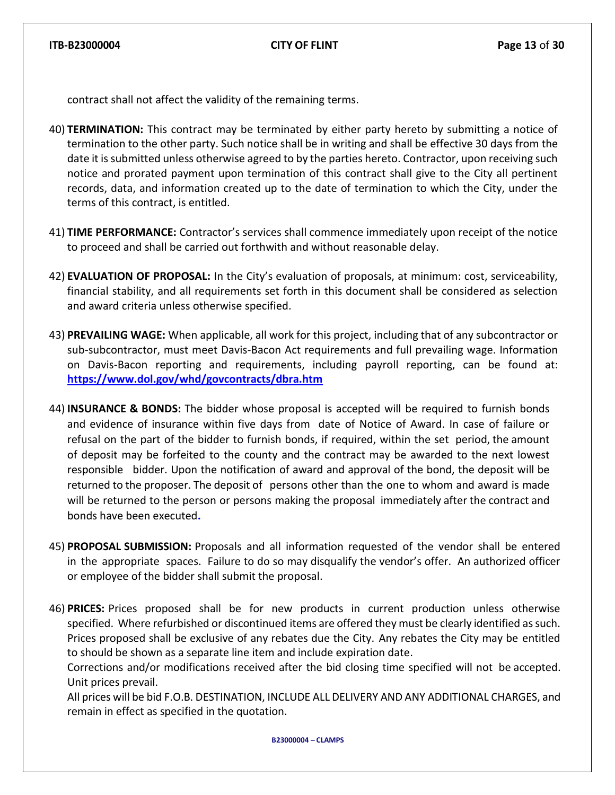**ITB-B23000004 CITY OF FLINT Page 13** of **30**

contract shall not affect the validity of the remaining terms.

- 40) **TERMINATION:** This contract may be terminated by either party hereto by submitting a notice of termination to the other party. Such notice shall be in writing and shall be effective 30 days from the date it is submitted unless otherwise agreed to by the parties hereto. Contractor, upon receiving such notice and prorated payment upon termination of this contract shall give to the City all pertinent records, data, and information created up to the date of termination to which the City, under the terms of this contract, is entitled.
- 41) **TIME PERFORMANCE:** Contractor's services shall commence immediately upon receipt of the notice to proceed and shall be carried out forthwith and without reasonable delay.
- 42) **EVALUATION OF PROPOSAL:** In the City's evaluation of proposals, at minimum: cost, serviceability, financial stability, and all requirements set forth in this document shall be considered as selection and award criteria unless otherwise specified.
- 43) **PREVAILING WAGE:** When applicable, all work for this project, including that of any subcontractor or sub-subcontractor, must meet Davis-Bacon Act requirements and full prevailing wage. Information on Davis-Bacon reporting and requirements, including payroll reporting, can be found at: **<https://www.dol.gov/whd/govcontracts/dbra.htm>**
- 44) **INSURANCE & BONDS:** The bidder whose proposal is accepted will be required to furnish bonds and evidence of insurance within five days from date of Notice of Award. In case of failure or refusal on the part of the bidder to furnish bonds, if required, within the set period, the amount of deposit may be forfeited to the county and the contract may be awarded to the next lowest responsible bidder. Upon the notification of award and approval of the bond, the deposit will be returned to the proposer. The deposit of persons other than the one to whom and award is made will be returned to the person or persons making the proposal immediately after the contract and bonds have been executed**.**
- 45) **PROPOSAL SUBMISSION:** Proposals and all information requested of the vendor shall be entered in the appropriate spaces. Failure to do so may disqualify the vendor's offer. An authorized officer or employee of the bidder shall submit the proposal.
- 46) **PRICES:** Prices proposed shall be for new products in current production unless otherwise specified. Where refurbished or discontinued items are offered they must be clearly identified as such. Prices proposed shall be exclusive of any rebates due the City. Any rebates the City may be entitled to should be shown as a separate line item and include expiration date.

Corrections and/or modifications received after the bid closing time specified will not be accepted. Unit prices prevail.

All prices will be bid F.O.B. DESTINATION, INCLUDE ALL DELIVERY AND ANY ADDITIONAL CHARGES, and remain in effect as specified in the quotation.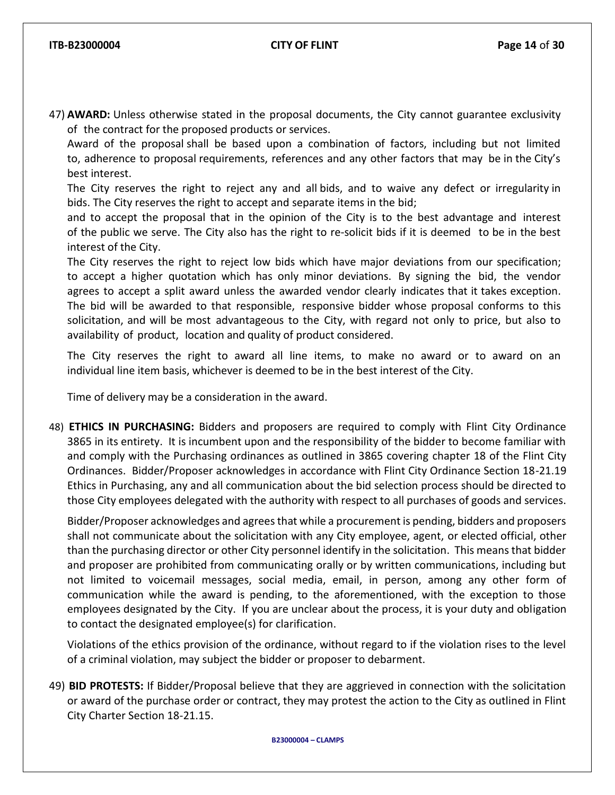47) **AWARD:** Unless otherwise stated in the proposal documents, the City cannot guarantee exclusivity of the contract for the proposed products or services.

Award of the proposal shall be based upon a combination of factors, including but not limited to, adherence to proposal requirements, references and any other factors that may be in the City's best interest.

The City reserves the right to reject any and all bids, and to waive any defect or irregularity in bids. The City reserves the right to accept and separate items in the bid;

and to accept the proposal that in the opinion of the City is to the best advantage and interest of the public we serve. The City also has the right to re-solicit bids if it is deemed to be in the best interest of the City.

The City reserves the right to reject low bids which have major deviations from our specification; to accept a higher quotation which has only minor deviations. By signing the bid, the vendor agrees to accept a split award unless the awarded vendor clearly indicates that it takes exception. The bid will be awarded to that responsible, responsive bidder whose proposal conforms to this solicitation, and will be most advantageous to the City, with regard not only to price, but also to availability of product, location and quality of product considered.

The City reserves the right to award all line items, to make no award or to award on an individual line item basis, whichever is deemed to be in the best interest of the City.

Time of delivery may be a consideration in the award.

48) **ETHICS IN PURCHASING:** Bidders and proposers are required to comply with Flint City Ordinance 3865 in its entirety. It is incumbent upon and the responsibility of the bidder to become familiar with and comply with the Purchasing ordinances as outlined in 3865 covering chapter 18 of the Flint City Ordinances. Bidder/Proposer acknowledges in accordance with Flint City Ordinance Section 18-21.19 Ethics in Purchasing, any and all communication about the bid selection process should be directed to those City employees delegated with the authority with respect to all purchases of goods and services.

Bidder/Proposer acknowledges and agrees that while a procurement is pending, bidders and proposers shall not communicate about the solicitation with any City employee, agent, or elected official, other than the purchasing director or other City personnel identify in the solicitation. This means that bidder and proposer are prohibited from communicating orally or by written communications, including but not limited to voicemail messages, social media, email, in person, among any other form of communication while the award is pending, to the aforementioned, with the exception to those employees designated by the City. If you are unclear about the process, it is your duty and obligation to contact the designated employee(s) for clarification.

Violations of the ethics provision of the ordinance, without regard to if the violation rises to the level of a criminal violation, may subject the bidder or proposer to debarment.

49) **BID PROTESTS:** If Bidder/Proposal believe that they are aggrieved in connection with the solicitation or award of the purchase order or contract, they may protest the action to the City as outlined in Flint City Charter Section 18-21.15.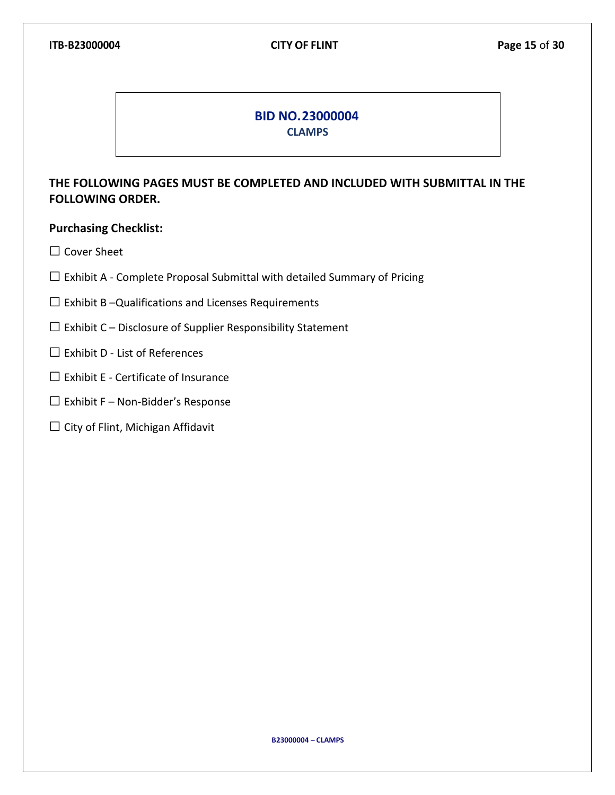# **BID NO.23000004 CLAMPS**

# **THE FOLLOWING PAGES MUST BE COMPLETED AND INCLUDED WITH SUBMITTAL IN THE FOLLOWING ORDER.**

## **Purchasing Checklist:**

- □ Cover Sheet
- $\square$  Exhibit A Complete Proposal Submittal with detailed Summary of Pricing
- $\square$  Exhibit B-Qualifications and Licenses Requirements
- $\square$  Exhibit C Disclosure of Supplier Responsibility Statement
- $\square$  Exhibit D List of References
- $\square$  Exhibit E Certificate of Insurance
- $\square$  Exhibit F Non-Bidder's Response
- $\Box$  City of Flint, Michigan Affidavit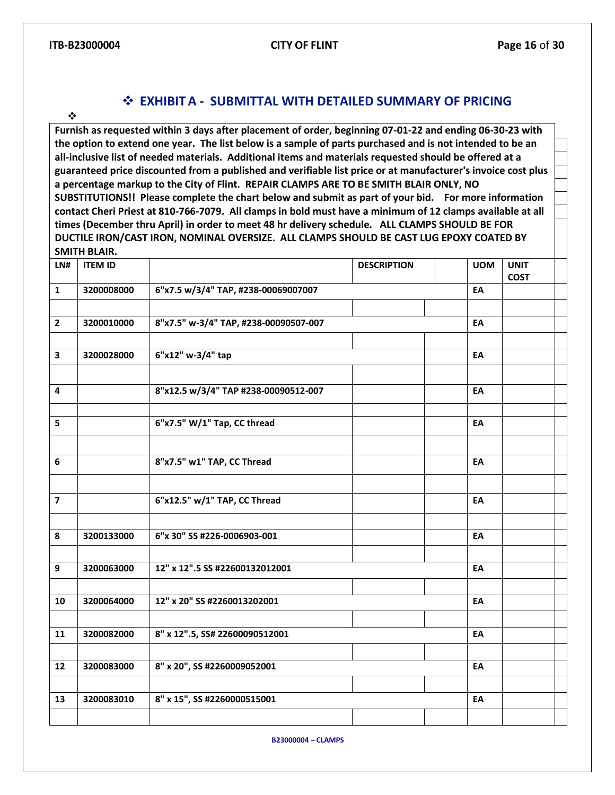# ❖ **EXHIBIT A - SUBMITTAL WITH DETAILED SUMMARY OF PRICING**

### ❖

**Furnish as requested within 3 days after placement of order, beginning 07-01-22 and ending 06-30-23 with the option to extend one year. The list below is a sample of parts purchased and is not intended to be an all-inclusive list of needed materials. Additional items and materials requested should be offered at a guaranteed price discounted from a published and verifiable list price or at manufacturer's invoice cost plus a percentage markup to the City of Flint. REPAIR CLAMPS ARE TO BE SMITH BLAIR ONLY, NO SUBSTITUTIONS!! Please complete the chart below and submit as part of your bid. For more information contact Cheri Priest at 810-766-7079. All clamps in bold must have a minimum of 12 clamps available at all times (December thru April) in order to meet 48 hr delivery schedule. ALL CLAMPS SHOULD BE FOR DUCTILE IRON/CAST IRON, NOMINAL OVERSIZE. ALL CLAMPS SHOULD BE CAST LUG EPOXY COATED BY SMITH BLAIR.**

| LN#                     | <b>ITEM ID</b> |                                       | <b>DESCRIPTION</b> | <b>UOM</b> | <b>UNIT</b><br><b>COST</b> |
|-------------------------|----------------|---------------------------------------|--------------------|------------|----------------------------|
| $\mathbf{1}$            | 3200008000     | 6"x7.5 w/3/4" TAP, #238-00069007007   |                    | EA         |                            |
|                         |                |                                       |                    |            |                            |
| $\overline{2}$          | 3200010000     | 8"x7.5" w-3/4" TAP, #238-00090507-007 |                    | EA         |                            |
| $\overline{\mathbf{3}}$ | 3200028000     | 6"x12" w-3/4" tap                     |                    | EA         |                            |
| $\overline{\mathbf{4}}$ |                | 8"x12.5 w/3/4" TAP #238-00090512-007  |                    | EA         |                            |
| 5                       |                | 6"x7.5" W/1" Tap, CC thread           |                    | EA         |                            |
| $\boldsymbol{6}$        |                | 8"x7.5" w1" TAP, CC Thread            |                    | EA         |                            |
| $\overline{\mathbf{z}}$ |                | 6"x12.5" w/1" TAP, CC Thread          |                    | EA         |                            |
| 8                       | 3200133000     | 6"x 30" SS #226-0006903-001           |                    | EA         |                            |
| 9                       | 3200063000     | 12" x 12".5 SS #22600132012001        |                    | EA         |                            |
| 10                      | 3200064000     | 12" x 20" SS #2260013202001           |                    | EA         |                            |
| 11                      | 3200082000     | 8" x 12".5, SS# 22600090512001        |                    | EA         |                            |
| 12                      | 3200083000     | 8" x 20", SS #2260009052001           |                    | EA         |                            |
| 13                      | 3200083010     | 8" x 15", SS #2260000515001           |                    | EA         |                            |
|                         |                |                                       |                    |            |                            |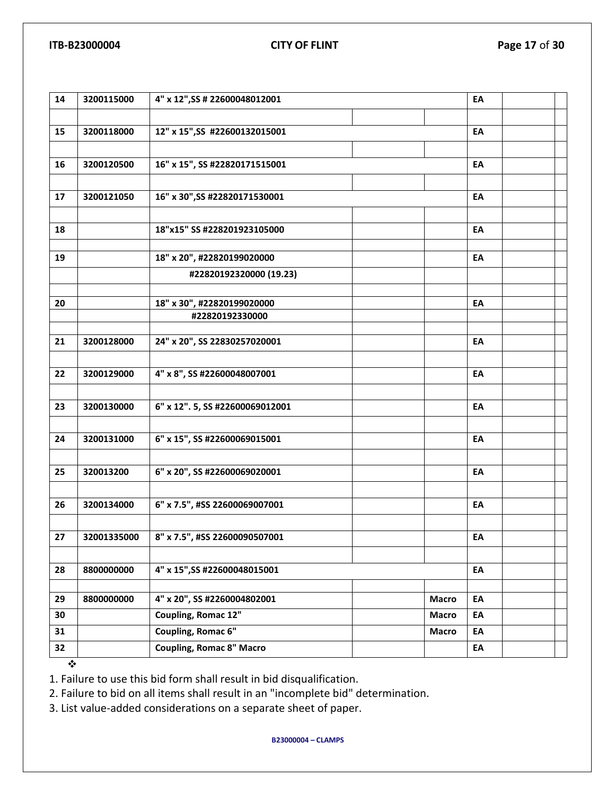## **ITB-B23000004 CITY OF FLINT Page 17** of **30**

| 14 | 3200115000  | 4" x 12", SS # 22600048012001   |              | EA |  |
|----|-------------|---------------------------------|--------------|----|--|
|    |             |                                 |              |    |  |
| 15 | 3200118000  | 12" x 15", SS #22600132015001   |              | EA |  |
|    |             |                                 |              |    |  |
| 16 | 3200120500  | 16" x 15", SS #22820171515001   |              | EA |  |
|    |             |                                 |              |    |  |
| 17 | 3200121050  | 16" x 30", SS #22820171530001   |              | EA |  |
|    |             |                                 |              |    |  |
| 18 |             | 18"x15" SS #228201923105000     |              | EA |  |
| 19 |             | 18" x 20", #22820199020000      |              | EA |  |
|    |             | #22820192320000 (19.23)         |              |    |  |
|    |             |                                 |              |    |  |
| 20 |             | 18" x 30", #22820199020000      |              | EA |  |
|    |             | #22820192330000                 |              |    |  |
| 21 | 3200128000  | 24" x 20", SS 22830257020001    |              | EA |  |
|    |             |                                 |              |    |  |
| 22 | 3200129000  | 4" x 8", SS #22600048007001     |              | EA |  |
| 23 | 3200130000  | 6" x 12". 5, SS #22600069012001 |              | EA |  |
|    |             |                                 |              |    |  |
| 24 | 3200131000  | 6" x 15", SS #22600069015001    |              | EA |  |
|    |             |                                 |              |    |  |
| 25 | 320013200   | 6" x 20", SS #22600069020001    |              | EA |  |
| 26 | 3200134000  | 6" x 7.5", #SS 22600069007001   |              | EA |  |
|    |             |                                 |              |    |  |
| 27 | 32001335000 | 8" x 7.5", #SS 22600090507001   |              | EA |  |
|    |             |                                 |              |    |  |
| 28 | 8800000000  | 4" x 15", SS #22600048015001    |              | EA |  |
|    |             | 4" x 20", SS #2260004802001     |              |    |  |
| 29 | 8800000000  | Coupling, Romac 12"             | <b>Macro</b> | EA |  |
| 30 |             |                                 | <b>Macro</b> | EA |  |
| 31 |             | Coupling, Romac 6"              | <b>Macro</b> | EA |  |
| 32 |             | <b>Coupling, Romac 8" Macro</b> |              | EA |  |

❖

1. Failure to use this bid form shall result in bid disqualification.

2. Failure to bid on all items shall result in an "incomplete bid" determination.

3. List value-added considerations on a separate sheet of paper.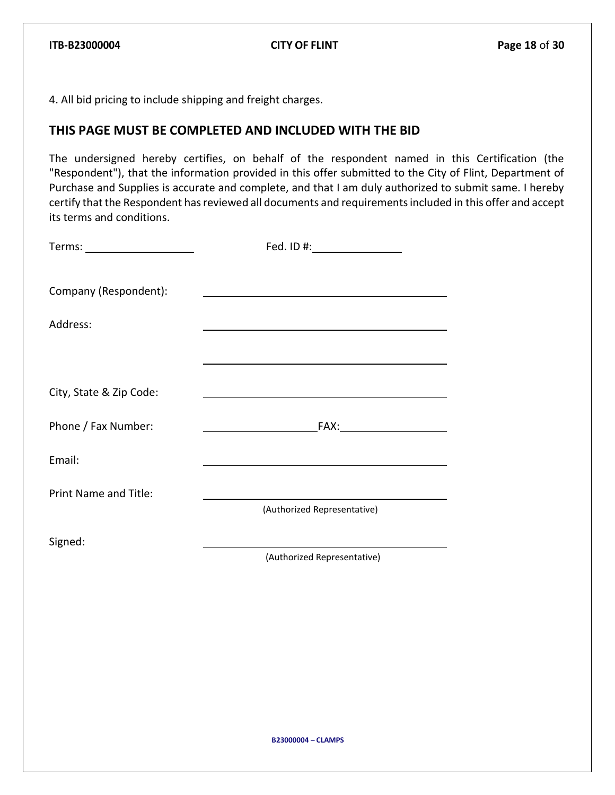4. All bid pricing to include shipping and freight charges.

# **THIS PAGE MUST BE COMPLETED AND INCLUDED WITH THE BID**

The undersigned hereby certifies, on behalf of the respondent named in this Certification (the "Respondent"), that the information provided in this offer submitted to the City of Flint, Department of Purchase and Supplies is accurate and complete, and that I am duly authorized to submit same. I hereby certify that the Respondent has reviewed all documents and requirements included in this offer and accept its terms and conditions.

| Terms: ______________________ | Fed. ID #:__________________                                                                                          |
|-------------------------------|-----------------------------------------------------------------------------------------------------------------------|
| Company (Respondent):         |                                                                                                                       |
| Address:                      |                                                                                                                       |
|                               | <u> 1980 - Johann Barn, amerikan besteman besteman besteman besteman besteman besteman besteman besteman besteman</u> |
| City, State & Zip Code:       |                                                                                                                       |
| Phone / Fax Number:           |                                                                                                                       |
| Email:                        | the contract of the contract of the contract of the contract of the contract of the contract of the contract of       |
| <b>Print Name and Title:</b>  | (Authorized Representative)                                                                                           |
| Signed:                       | (Authorized Representative)                                                                                           |
|                               |                                                                                                                       |
|                               |                                                                                                                       |
|                               |                                                                                                                       |
|                               |                                                                                                                       |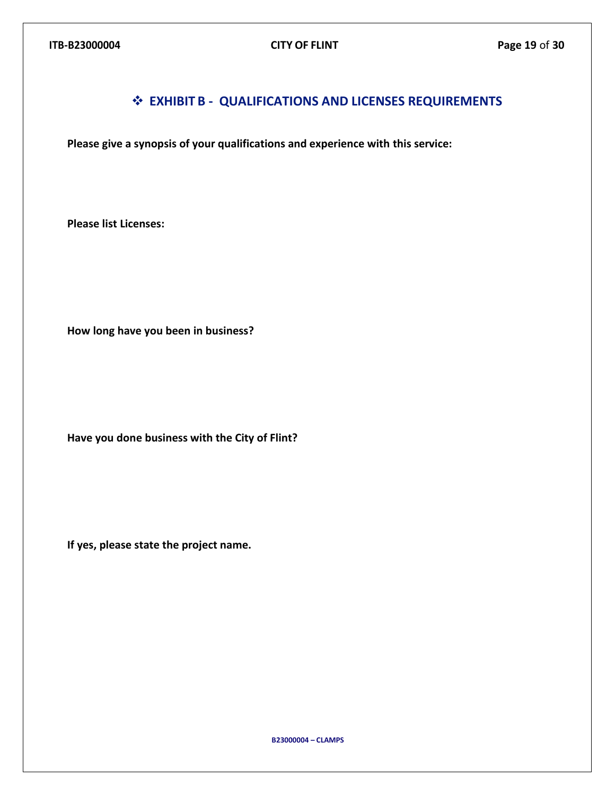# ❖ **EXHIBIT B - QUALIFICATIONS AND LICENSES REQUIREMENTS**

**Please give a synopsis of your qualifications and experience with this service:**

**Please list Licenses:**

**How long have you been in business?**

**Have you done business with the City of Flint?**

**If yes, please state the project name.**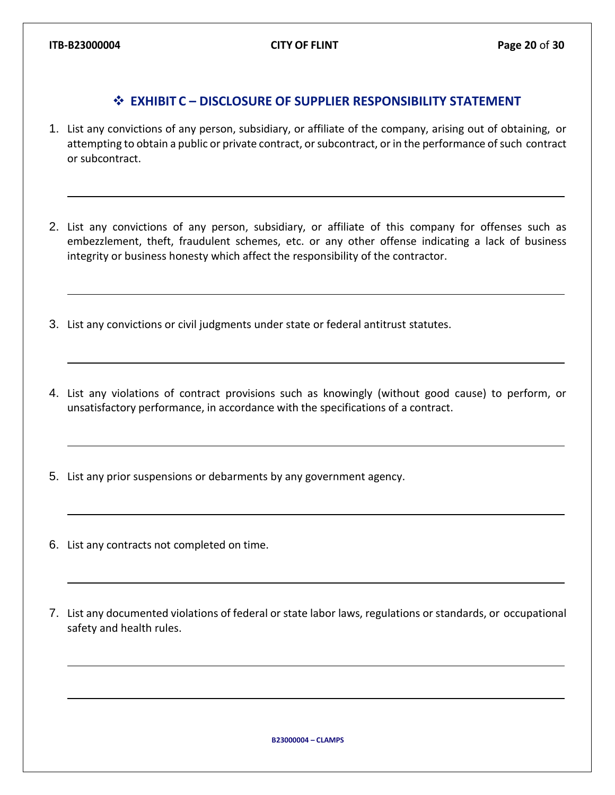# ❖ **EXHIBIT C – DISCLOSURE OF SUPPLIER RESPONSIBILITY STATEMENT**

- 1. List any convictions of any person, subsidiary, or affiliate of the company, arising out of obtaining, or attempting to obtain a public or private contract, or subcontract, or in the performance of such contract or subcontract.
- 2. List any convictions of any person, subsidiary, or affiliate of this company for offenses such as embezzlement, theft, fraudulent schemes, etc. or any other offense indicating a lack of business integrity or business honesty which affect the responsibility of the contractor.
- 3. List any convictions or civil judgments under state or federal antitrust statutes.
- 4. List any violations of contract provisions such as knowingly (without good cause) to perform, or unsatisfactory performance, in accordance with the specifications of a contract.
- 5. List any prior suspensions or debarments by any government agency.
- 6. List any contracts not completed on time.
- 7. List any documented violations of federal or state labor laws, regulations or standards, or occupational safety and health rules.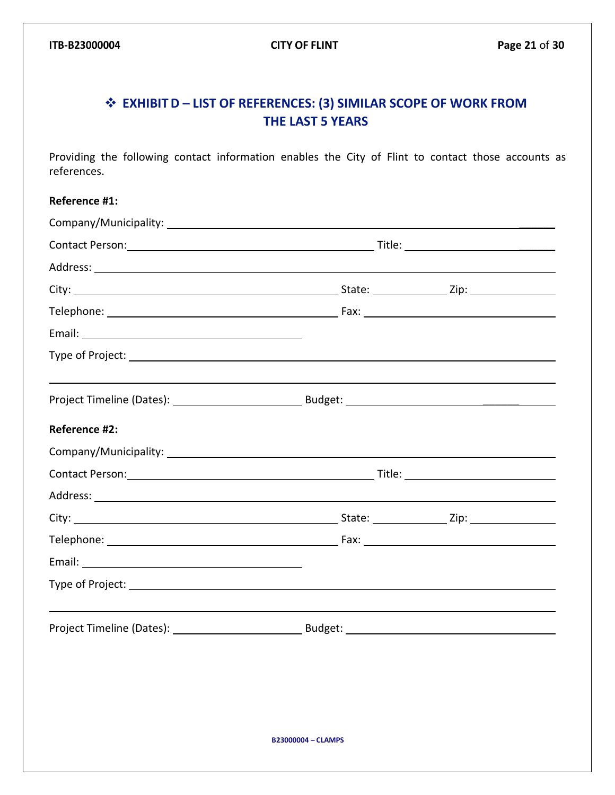# ❖ **EXHIBITD – LIST OF REFERENCES: (3) SIMILAR SCOPE OF WORK FROM THE LAST 5 YEARS**

Providing the following contact information enables the City of Flint to contact those accounts as references.

| Reference #1:                                                                                                   |                           |  |
|-----------------------------------------------------------------------------------------------------------------|---------------------------|--|
|                                                                                                                 |                           |  |
|                                                                                                                 |                           |  |
|                                                                                                                 |                           |  |
|                                                                                                                 |                           |  |
|                                                                                                                 |                           |  |
|                                                                                                                 |                           |  |
|                                                                                                                 |                           |  |
|                                                                                                                 |                           |  |
|                                                                                                                 |                           |  |
| Reference #2:                                                                                                   |                           |  |
|                                                                                                                 |                           |  |
| Contact Person: Notified a Second Contact Person: Note: Note: Note: Note: Note: Note: Note: Note: Note: Note: N |                           |  |
|                                                                                                                 |                           |  |
|                                                                                                                 |                           |  |
|                                                                                                                 |                           |  |
|                                                                                                                 |                           |  |
|                                                                                                                 |                           |  |
|                                                                                                                 |                           |  |
|                                                                                                                 |                           |  |
|                                                                                                                 |                           |  |
|                                                                                                                 |                           |  |
|                                                                                                                 |                           |  |
|                                                                                                                 | <b>B23000004 - CLAMPS</b> |  |
|                                                                                                                 |                           |  |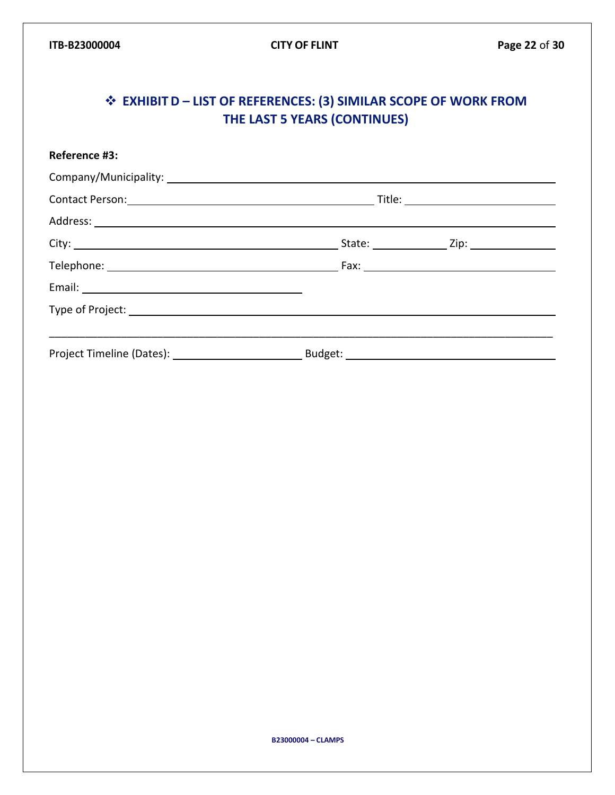| ITB-B23000004 |  |
|---------------|--|
|---------------|--|

# ❖ **EXHIBITD – LIST OF REFERENCES: (3) SIMILAR SCOPE OF WORK FROM THE LAST 5 YEARS (CONTINUES)**

| Reference #3:                                                                                                  |  |
|----------------------------------------------------------------------------------------------------------------|--|
|                                                                                                                |  |
| Contact Person: Note and Society and Society and Society and Society and Society and Society and Society and S |  |
|                                                                                                                |  |
|                                                                                                                |  |
|                                                                                                                |  |
|                                                                                                                |  |
|                                                                                                                |  |
|                                                                                                                |  |
|                                                                                                                |  |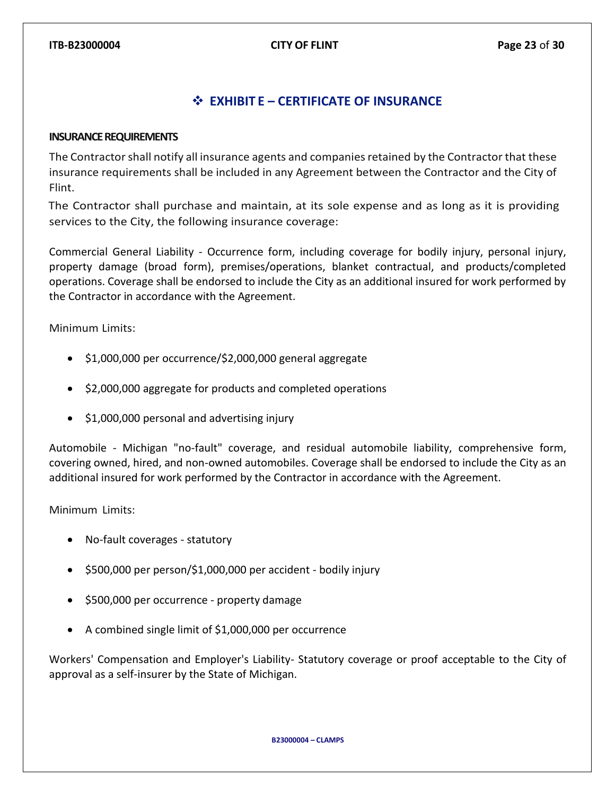# ❖ **EXHIBIT E – CERTIFICATE OF INSURANCE**

### **INSURANCE REQUIREMENTS**

The Contractor shall notify all insurance agents and companies retained by the Contractor that these insurance requirements shall be included in any Agreement between the Contractor and the City of Flint.

The Contractor shall purchase and maintain, at its sole expense and as long as it is providing services to the City, the following insurance coverage:

Commercial General Liability - Occurrence form, including coverage for bodily injury, personal injury, property damage (broad form), premises/operations, blanket contractual, and products/completed operations. Coverage shall be endorsed to include the City as an additional insured for work performed by the Contractor in accordance with the Agreement.

Minimum Limits:

- \$1,000,000 per occurrence/\$2,000,000 general aggregate
- \$2,000,000 aggregate for products and completed operations
- \$1,000,000 personal and advertising injury

Automobile - Michigan "no-fault" coverage, and residual automobile liability, comprehensive form, covering owned, hired, and non-owned automobiles. Coverage shall be endorsed to include the City as an additional insured for work performed by the Contractor in accordance with the Agreement.

Minimum Limits:

- No-fault coverages statutory
- \$500,000 per person/\$1,000,000 per accident bodily injury
- \$500,000 per occurrence property damage
- A combined single limit of \$1,000,000 per occurrence

Workers' Compensation and Employer's Liability- Statutory coverage or proof acceptable to the City of approval as a self-insurer by the State of Michigan.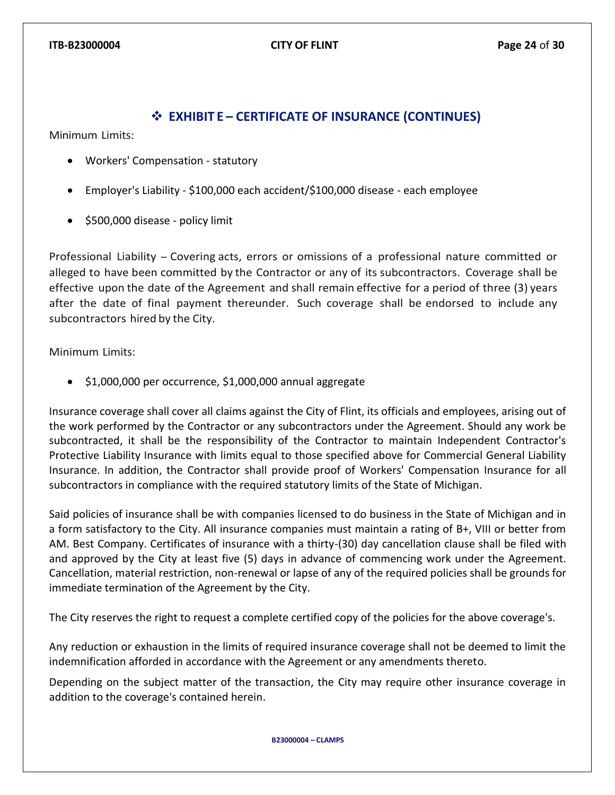**ITB-B23000004 CITY OF FLINT Page 24** of **30**

# ❖ **EXHIBIT E – CERTIFICATE OF INSURANCE (CONTINUES)**

Minimum Limits:

- Workers' Compensation statutory
- Employer's Liability \$100,000 each accident/\$100,000 disease each employee
- \$500,000 disease policy limit

Professional Liability - Covering acts, errors or omissions of a professional nature committed or alleged to have been committed by the Contractor or any of its subcontractors. Coverage shall be effective upon the date of the Agreement and shall remain effective for a period of three (3) years after the date of final payment thereunder. Such coverage shall be endorsed to include any subcontractors hired by the City.

## Minimum Limits:

• \$1,000,000 per occurrence, \$1,000,000 annual aggregate

Insurance coverage shall cover all claims against the City of Flint, its officials and employees, arising out of the work performed by the Contractor or any subcontractors under the Agreement. Should any work be subcontracted, it shall be the responsibility of the Contractor to maintain Independent Contractor's Protective Liability Insurance with limits equal to those specified above for Commercial General Liability Insurance. In addition, the Contractor shall provide proof of Workers' Compensation Insurance for all subcontractors in compliance with the required statutory limits of the State of Michigan.

Said policies of insurance shall be with companies licensed to do business in the State of Michigan and in a form satisfactory to the City. All insurance companies must maintain a rating of B+, VIII or better from AM. Best Company. Certificates of insurance with a thirty-(30) day cancellation clause shall be filed with and approved by the City at least five (5) days in advance of commencing work under the Agreement. Cancellation, material restriction, non-renewal or lapse of any of the required policies shall be grounds for immediate termination of the Agreement by the City.

The City reserves the right to request a complete certified copy of the policies for the above coverage's.

Any reduction or exhaustion in the limits of required insurance coverage shall not be deemed to limit the indemnification afforded in accordance with the Agreement or any amendments thereto.

Depending on the subject matter of the transaction, the City may require other insurance coverage in addition to the coverage's contained herein.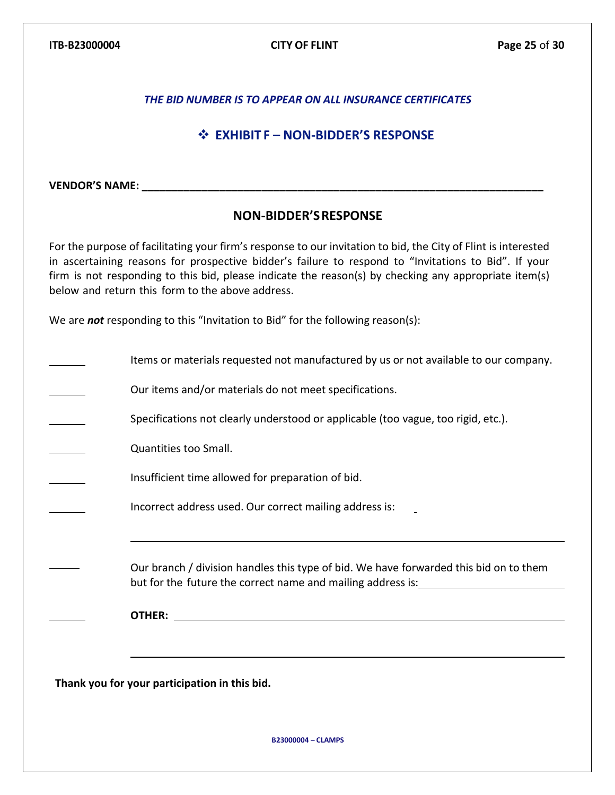### *THE BID NUMBER IS TO APPEAR ON ALL INSURANCE CERTIFICATES*

## ❖ **EXHIBIT F – NON-BIDDER'S RESPONSE**

**VENDOR'S NAME: \_\_\_\_\_\_\_\_\_\_\_\_\_\_\_\_\_\_\_\_\_\_\_\_\_\_\_\_\_\_\_\_\_\_\_\_\_\_\_\_\_\_\_\_\_\_\_\_\_\_\_\_\_\_\_\_\_\_\_\_\_\_\_\_\_\_\_**

## **NON-BIDDER'SRESPONSE**

For the purpose of facilitating your firm's response to our invitation to bid, the City of Flint is interested in ascertaining reasons for prospective bidder's failure to respond to "Invitations to Bid". If your firm is not responding to this bid, please indicate the reason(s) by checking any appropriate item(s) below and return this form to the above address.

We are **not** responding to this "Invitation to Bid" for the following reason(s):

Items or materials requested not manufactured by us or not available to our company.

Our items and/or materials do not meet specifications.

Specifications not clearly understood or applicable (too vague, too rigid, etc.).

Quantities too Small.

Insufficient time allowed for preparation of bid.

Incorrect address used. Our correct mailing address is:

Our branch / division handles this type of bid. We have forwarded this bid on to them but for the future the correct name and mailing address is:

**OTHER:** 

**Thank you for your participation in this bid.**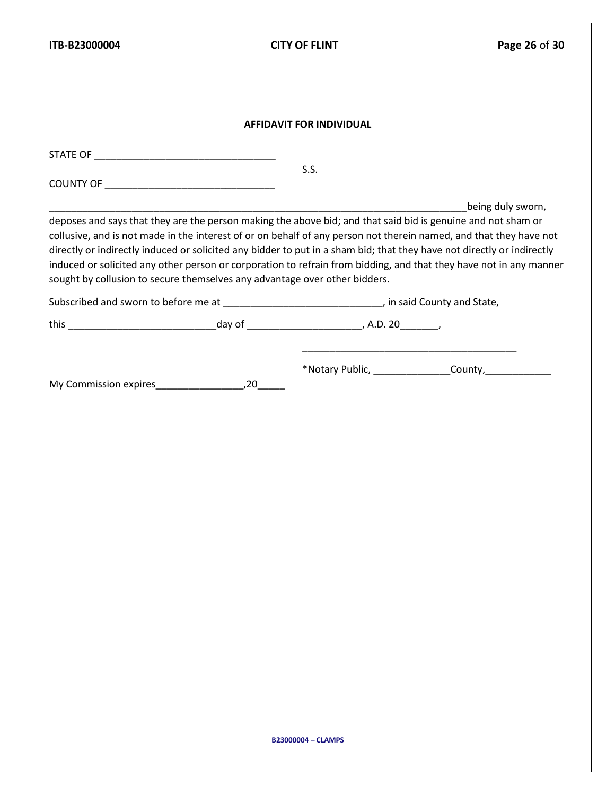| ITB-B23000004                                                                                                                                                                              | <b>CITY OF FLINT</b>            | Page 26 of 30                                                                                                                                                                                                                                                                                                                                                                           |
|--------------------------------------------------------------------------------------------------------------------------------------------------------------------------------------------|---------------------------------|-----------------------------------------------------------------------------------------------------------------------------------------------------------------------------------------------------------------------------------------------------------------------------------------------------------------------------------------------------------------------------------------|
|                                                                                                                                                                                            | <b>AFFIDAVIT FOR INDIVIDUAL</b> |                                                                                                                                                                                                                                                                                                                                                                                         |
|                                                                                                                                                                                            | S.S.                            |                                                                                                                                                                                                                                                                                                                                                                                         |
| deposes and says that they are the person making the above bid; and that said bid is genuine and not sham or<br>sought by collusion to secure themselves any advantage over other bidders. |                                 | being duly sworn,<br>collusive, and is not made in the interest of or on behalf of any person not therein named, and that they have not<br>directly or indirectly induced or solicited any bidder to put in a sham bid; that they have not directly or indirectly<br>induced or solicited any other person or corporation to refrain from bidding, and that they have not in any manner |
|                                                                                                                                                                                            |                                 |                                                                                                                                                                                                                                                                                                                                                                                         |
|                                                                                                                                                                                            |                                 |                                                                                                                                                                                                                                                                                                                                                                                         |
|                                                                                                                                                                                            |                                 | <u> 1989 - Johann John Stone, mars et al. (1989)</u>                                                                                                                                                                                                                                                                                                                                    |
|                                                                                                                                                                                            |                                 |                                                                                                                                                                                                                                                                                                                                                                                         |
|                                                                                                                                                                                            |                                 |                                                                                                                                                                                                                                                                                                                                                                                         |
|                                                                                                                                                                                            |                                 |                                                                                                                                                                                                                                                                                                                                                                                         |
|                                                                                                                                                                                            |                                 |                                                                                                                                                                                                                                                                                                                                                                                         |
|                                                                                                                                                                                            |                                 |                                                                                                                                                                                                                                                                                                                                                                                         |
|                                                                                                                                                                                            |                                 |                                                                                                                                                                                                                                                                                                                                                                                         |
|                                                                                                                                                                                            | <b>B23000004 - CLAMPS</b>       |                                                                                                                                                                                                                                                                                                                                                                                         |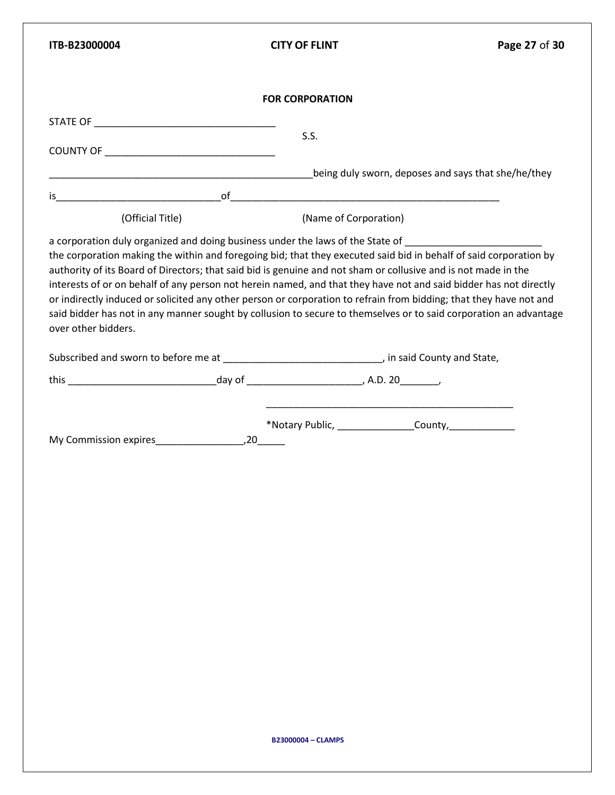| <b>ITB-B23000004</b>                                                                                                                                                                                                                                                                                                                                                 | <b>CITY OF FLINT</b>      | Page 27 of 30                                       |
|----------------------------------------------------------------------------------------------------------------------------------------------------------------------------------------------------------------------------------------------------------------------------------------------------------------------------------------------------------------------|---------------------------|-----------------------------------------------------|
|                                                                                                                                                                                                                                                                                                                                                                      | <b>FOR CORPORATION</b>    |                                                     |
|                                                                                                                                                                                                                                                                                                                                                                      |                           |                                                     |
|                                                                                                                                                                                                                                                                                                                                                                      | S.S.                      |                                                     |
|                                                                                                                                                                                                                                                                                                                                                                      |                           |                                                     |
| <u> 1989 - Johann Harry Harry Harry Harry Harry Harry Harry Harry Harry Harry Harry Harry Harry Harry Harry Harry</u>                                                                                                                                                                                                                                                |                           | being duly sworn, deposes and says that she/he/they |
| is of the contract of the contract of the contract of the contract of the contract of the contract of the contract of the contract of the contract of the contract of the contract of the contract of the contract of the cont                                                                                                                                       |                           |                                                     |
| (Official Title)<br>a corporation duly organized and doing business under the laws of the State of ______________________________                                                                                                                                                                                                                                    | (Name of Corporation)     |                                                     |
| or indirectly induced or solicited any other person or corporation to refrain from bidding; that they have not and<br>said bidder has not in any manner sought by collusion to secure to themselves or to said corporation an advantage<br>over other bidders.<br>Subscribed and sworn to before me at __________________________________, in said County and State, |                           |                                                     |
|                                                                                                                                                                                                                                                                                                                                                                      |                           |                                                     |
|                                                                                                                                                                                                                                                                                                                                                                      |                           |                                                     |
|                                                                                                                                                                                                                                                                                                                                                                      |                           |                                                     |
|                                                                                                                                                                                                                                                                                                                                                                      |                           |                                                     |
|                                                                                                                                                                                                                                                                                                                                                                      |                           |                                                     |
|                                                                                                                                                                                                                                                                                                                                                                      |                           |                                                     |
|                                                                                                                                                                                                                                                                                                                                                                      |                           |                                                     |
|                                                                                                                                                                                                                                                                                                                                                                      |                           |                                                     |
|                                                                                                                                                                                                                                                                                                                                                                      |                           |                                                     |
|                                                                                                                                                                                                                                                                                                                                                                      |                           |                                                     |
|                                                                                                                                                                                                                                                                                                                                                                      |                           |                                                     |
|                                                                                                                                                                                                                                                                                                                                                                      |                           |                                                     |
|                                                                                                                                                                                                                                                                                                                                                                      |                           |                                                     |
|                                                                                                                                                                                                                                                                                                                                                                      |                           |                                                     |
|                                                                                                                                                                                                                                                                                                                                                                      |                           |                                                     |
|                                                                                                                                                                                                                                                                                                                                                                      |                           |                                                     |
|                                                                                                                                                                                                                                                                                                                                                                      | <b>B23000004 - CLAMPS</b> |                                                     |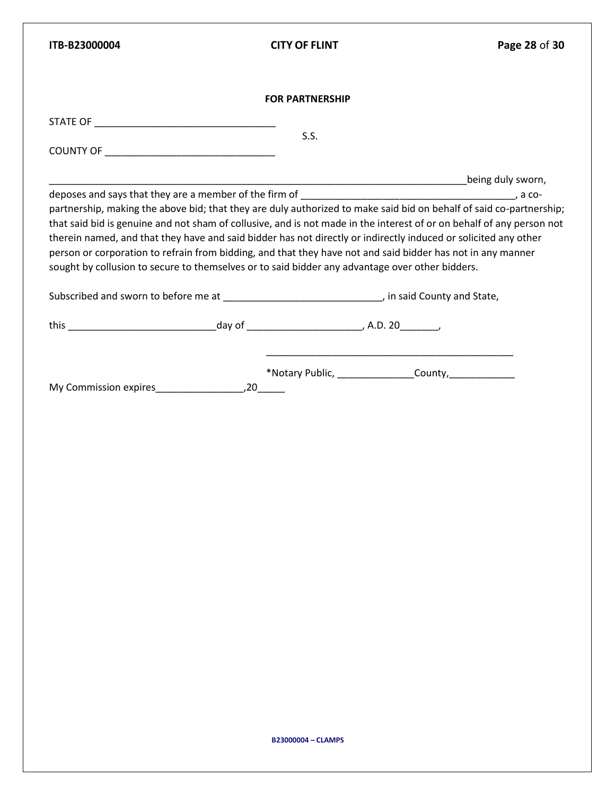| ITB-B23000004                                                                                      | <b>CITY OF FLINT</b>   | Page 28 of 30                                                                                                                                                                                                                                                                                                                                                                                                                                                                                       |
|----------------------------------------------------------------------------------------------------|------------------------|-----------------------------------------------------------------------------------------------------------------------------------------------------------------------------------------------------------------------------------------------------------------------------------------------------------------------------------------------------------------------------------------------------------------------------------------------------------------------------------------------------|
|                                                                                                    | <b>FOR PARTNERSHIP</b> |                                                                                                                                                                                                                                                                                                                                                                                                                                                                                                     |
|                                                                                                    | S.S.                   |                                                                                                                                                                                                                                                                                                                                                                                                                                                                                                     |
| sought by collusion to secure to themselves or to said bidder any advantage over other bidders.    |                        | being duly sworn,<br>partnership, making the above bid; that they are duly authorized to make said bid on behalf of said co-partnership;<br>that said bid is genuine and not sham of collusive, and is not made in the interest of or on behalf of any person not<br>therein named, and that they have and said bidder has not directly or indirectly induced or solicited any other<br>person or corporation to refrain from bidding, and that they have not and said bidder has not in any manner |
| Subscribed and sworn to before me at __________________________________, in said County and State, |                        |                                                                                                                                                                                                                                                                                                                                                                                                                                                                                                     |
|                                                                                                    |                        |                                                                                                                                                                                                                                                                                                                                                                                                                                                                                                     |
|                                                                                                    |                        | *Notary Public, ________________County, ______________                                                                                                                                                                                                                                                                                                                                                                                                                                              |
|                                                                                                    | B23000004 - CLAMPS     |                                                                                                                                                                                                                                                                                                                                                                                                                                                                                                     |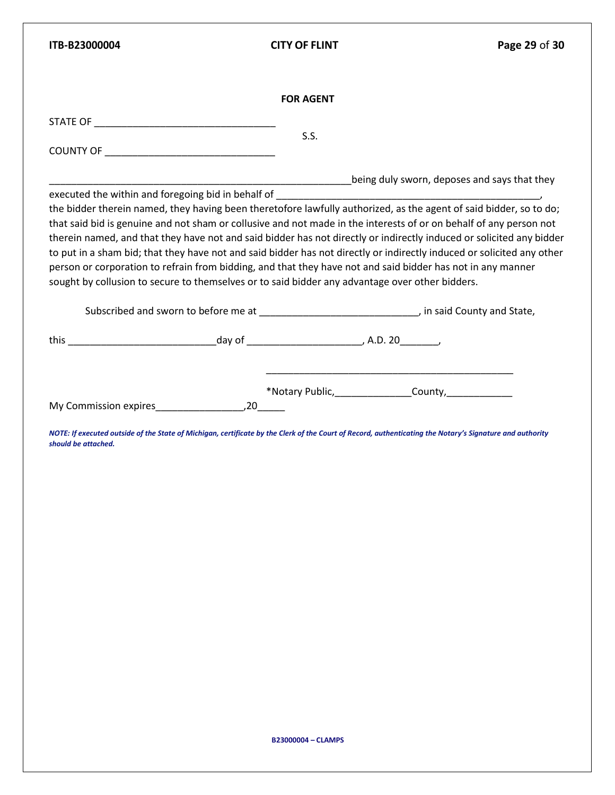| CITY OF FLINT                                                                                                                                                                                                  | Page 29 of 30                                |
|----------------------------------------------------------------------------------------------------------------------------------------------------------------------------------------------------------------|----------------------------------------------|
| <b>FOR AGENT</b>                                                                                                                                                                                               |                                              |
|                                                                                                                                                                                                                |                                              |
| S.S.                                                                                                                                                                                                           |                                              |
|                                                                                                                                                                                                                |                                              |
|                                                                                                                                                                                                                | being duly sworn, deposes and says that they |
|                                                                                                                                                                                                                |                                              |
| person or corporation to refrain from bidding, and that they have not and said bidder has not in any manner<br>sought by collusion to secure to themselves or to said bidder any advantage over other bidders. |                                              |
|                                                                                                                                                                                                                |                                              |
|                                                                                                                                                                                                                |                                              |
| *Notary Public,_________________County,_______________                                                                                                                                                         |                                              |
|                                                                                                                                                                                                                |                                              |